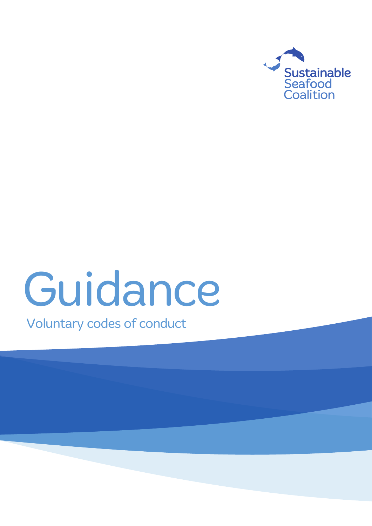

# Guidance

Voluntary codes of conduct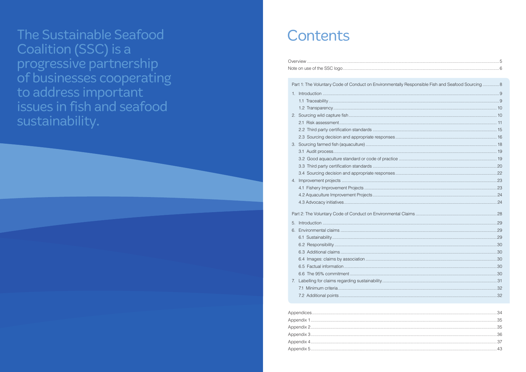The Sustainable Seafood Coalition (SSC) is a progressive partnership of businesses cooperating<br>to address important issues in fish and seafood sustainability.

### Contents

|    | Part 1: The Voluntary Code of Conduct on Environmer |
|----|-----------------------------------------------------|
| 1. |                                                     |
|    |                                                     |
|    |                                                     |
| 2. |                                                     |
|    |                                                     |
|    | 2.2 Third party certification standards             |
|    | 2.3 Sourcing decision and appropriate responses     |
| 3. | Sourcing farmed fish (aquaculture)                  |
|    |                                                     |
|    | 3.2 Good aquaculture standard or code of practic    |
|    | 3.3 Third party certification standards             |
|    | 3.4 Sourcing decision and appropriate responses     |
| 4. |                                                     |
|    | 4.1 Fishery Improvement Projects                    |
|    | 4.2 Aquaculture Improvement Projects                |
|    |                                                     |
|    | Part 2: The Voluntary Code of Conduct on Environmer |
| 5. |                                                     |
| 6. |                                                     |
|    |                                                     |
|    |                                                     |
|    |                                                     |
|    | 6.4                                                 |
|    | 6.5                                                 |
|    | 6.6                                                 |
| 7. | Labelling for claims regarding sustainability       |
|    |                                                     |

7.2 Additional points ....................

| ally Responsible Fish and Seafood Sourcing 8 |
|----------------------------------------------|
|                                              |
|                                              |
|                                              |
|                                              |
|                                              |
|                                              |
|                                              |
|                                              |
|                                              |
| 19                                           |
|                                              |
|                                              |
|                                              |
|                                              |
|                                              |
|                                              |
|                                              |
|                                              |
|                                              |
|                                              |
|                                              |
|                                              |
|                                              |
|                                              |
|                                              |
|                                              |
|                                              |
|                                              |
|                                              |
|                                              |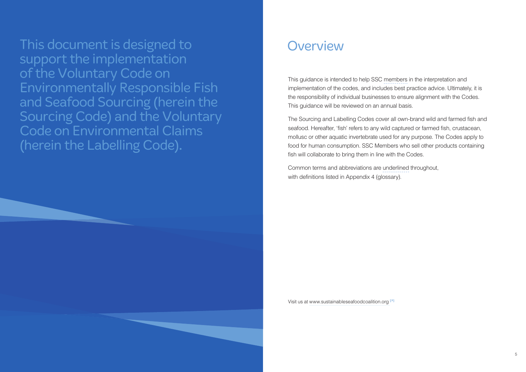This document is designed to **Overview** support the implementation of the Voluntary Code on Environmentally Responsible Fish and Seafood Sourcing (herein the Sourcing Code) and the Voluntary Code on Environmental Claims (herein the Labelling Code).

This guidance is intended to help SSC members in the interpretation and implementation of the codes, and includes best practice advice. Ultimately, it is the responsibility of individual businesses to ensure alignment with the Codes. This guidance will be reviewed on an annual basis.

Common terms and abbreviations are underlined throughout, with definitions listed in Appendix 4 (glossary).

The Sourcing and Labelling Codes cover all own-brand wild and farmed fish and seafood. Hereafter, 'fish' refers to any wild captured or farmed fish, crustacean, mollusc or other aquatic invertebrate used for any purpose. The Codes apply to food for human consumption. SSC Members who sell other products containing fish will collaborate to bring them in line with the Codes.

Visit us at www.sustainableseafoodcoalition.org **[**ä**]**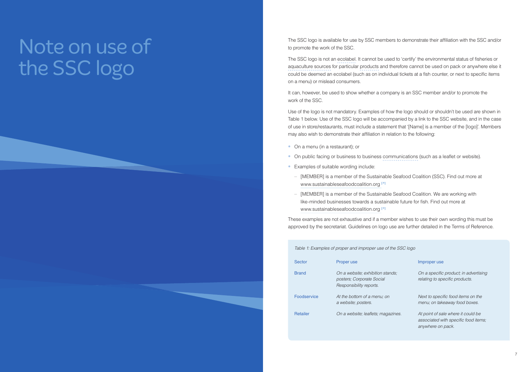The SSC logo is available for use by SSC members to demonstrate their affiliation with the SSC and/or to promote the work of the SSC.

The SSC logo is not an ecolabel. It cannot be used to 'certify' the environmental status of fisheries or aquaculture sources for particular products and therefore cannot be used on pack or anywhere else it could be deemed an ecolabel (such as on individual tickets at a fish counter, or next to specific items on a menu) or mislead consumers.

It can, however, be used to show whether a company is an SSC member and/or to promote the work of the SSC.

- On a menu (in a restaurant); or
- On public facing or business to business communications (such as a leaflet or website).
- Examples of suitable wording include:
	- [MEMBER] is a member of the Sustainable Seafood Coalition (SSC). Find out more at www.sustainableseafoodcoalition.org **[**ä**]**
	- [MEMBER] is a member of the Sustainable Seafood Coalition. We are working with like-minded businesses towards a sustainable future for fish. Find out more at www.sustainableseafoodcoalition.org **[**ä**]**

Use of the logo is not mandatory. Examples of how the logo should or shouldn't be used are shown in Table 1 below. Use of the SSC logo will be accompanied by a link to the SSC website, and in the case of use in store/restaurants, must include a statement that '[Name] is a member of the [logo]'. Members may also wish to demonstrate their affiliation in relation to the following:

> Brand *On a website; exhibition stands; On a specific product; in advertising relating to specific products.*

These examples are not exhaustive and if a member wishes to use their own wording this must be approved by the secretariat. Guidelines on logo use are further detailed in the Terms of Reference.

| Table 1: Examples of proper and improper use of the |                                                                                          |
|-----------------------------------------------------|------------------------------------------------------------------------------------------|
| Sector                                              | Proper use                                                                               |
| Brand                                               | On a website: exhibition stands:<br>posters; Corporate Social<br>Responsibility reports. |
| Foodservice                                         | At the bottom of a menu: on<br>a website; posters.                                       |
| <b>Retailer</b>                                     | On a website; leaflets; magazine                                                         |

#### $SSC$  logo

#### Improper use

Foodservice *At the bottom of a menu; on Next to specific food items on the a website; posters. menu; on takeaway food boxes.*

Retailer *On a website; leaflets; magazines. At point of sale where it could be associated with specific food items; anywhere on pack.*

## Note on use of the SSC logo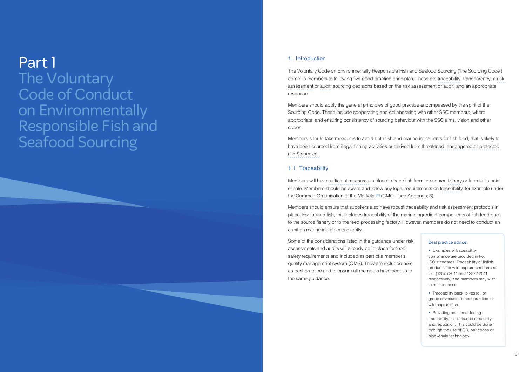#### 1. Introduction

The Voluntary Code on Environmentally Responsible Fish and Seafood Sourcing ('the Sourcing Code') commits members to following five good practice principles. These are traceability; transparency; a risk assessment or audit; sourcing decisions based on the risk assessment or audit; and an appropriate response.

Members should apply the general principles of good practice encompassed by the spirit of the Sourcing Code. These include cooperating and collaborating with other SSC members, where appropriate, and ensuring consistency of sourcing behaviour with the SSC aims, vision and other codes.

Members should take measures to avoid both fish and marine ingredients for fish feed, that is likely to have been sourced from illegal fishing activities or derived from threatened, endangered or protected (TEP) species.

#### 1.1 Traceability

Members will have sufficient measures in place to trace fish from the source fishery or farm to its point of sale. Members should be aware and follow any legal requirements on traceability, for example under the Common Organisation of the Markets **[**ä**]** (CMO – see Appendix 3).

> • Providing consumer facing traceability can enhance credibility and reputation. This could be done through the use of QR, bar codes or blockchain technology.

Members should ensure that suppliers also have robust traceability and risk assessment protocols in place. For farmed fish, this includes traceability of the marine ingredient components of fish feed back to the source fishery or to the feed processing factory. However, members do not need to conduct an audit on marine ingredients directly.

Some of the considerations listed in the guidance under risk assessments and audits will already be in place for food safety requirements and included as part of a member's quality management system (QMS). They are included here as best practice and to ensure all members have access to the same guidance.

## Part 1 The Voluntary Code of Conduct on Environmentally Responsible Fish and Seafood Sourcing

#### Best practice advice:

• Examples of traceability compliance are provided in two ISO standards 'Traceability of finfish products' for wild capture and farmed fish (12875:2011 and 12877:2011, respectively) and members may wish to refer to those.

• Traceability back to vessel, or group of vessels, is best practice for wild capture fish.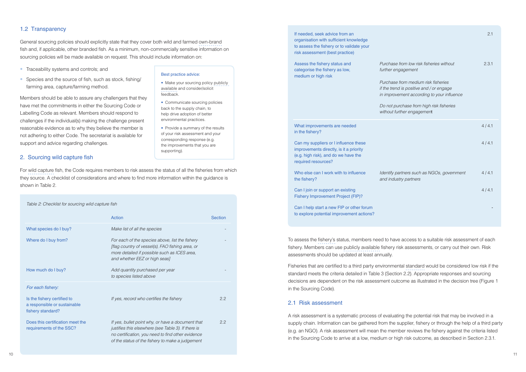General sourcing policies should explicitly state that they cover both wild and farmed own-brand fish and, if applicable, other branded fish. As a minimum, non-commercially sensitive information on sourcing policies will be made available on request. This should include information on:

- Traceability systems and controls; and
- Species and the source of fish, such as stock, fishing/ farming area, capture/farming method.

Members should be able to assure any challengers that they have met the commitments in either the Sourcing Code or Labelling Code as relevant. Members should respond to challenges if the individual(s) making the challenge present reasonable evidence as to why they believe the member is not adhering to either Code. The secretariat is available for support and advice regarding challenges.

#### 2. Sourcing wild capture fish

For wild capture fish, the Code requires members to risk assess the status of all the fisheries from which they source. A checklist of considerations and where to find more information within the guidance is shown in Table 2.

If needed, seek advice from an organisation with sufficient knowledge to assess the fishery or to validate your risk assessment (best practice)

Assess the fishery status and *Purchase* categorise the fishery as low, *further engagement* medium or high risk

*Purchase if the trend in improve* 

*Do not pu* without fu

**What improvements are needed** in the fishery?

Can my suppliers or I influence these improvements directly, is it a priority (e.g. high risk), and do we have the required resources?

Who else can I work with to influence *Identify partners in the Identify partners such as NGOs, as NGOs, as NGCOs, as NGCOS, as NGCOS*,  $\mu$ the fishery? *and industry partnerss partnerss and industry partnerss partnerss and industry partnerss partnerss and industry partnerss and industry partnerss and industry partnerss and industry partners and industry part* 

Can I join or support an existing Fishery Improvement Project (FIP)?

Can I help start a new FIP or other forum to explore potential improvement actions?

| Table 2: Checklist for sourcing wild capture fish                                |                                                                                                                                                                                                                   |                |
|----------------------------------------------------------------------------------|-------------------------------------------------------------------------------------------------------------------------------------------------------------------------------------------------------------------|----------------|
|                                                                                  | Action                                                                                                                                                                                                            | <b>Section</b> |
| What species do I buy?                                                           | Make list of all the species                                                                                                                                                                                      |                |
| Where do I buy from?                                                             | For each of the species above, list the fishery<br>[flag country of vessel(s), FAO fishing area, or<br>more detailed if possible such as ICES area,<br>and whether EEZ or high seas]                              |                |
| How much do I buy?                                                               | Add quantity purchased per year<br>to species listed above                                                                                                                                                        |                |
| For each fishery:                                                                |                                                                                                                                                                                                                   |                |
| Is the fishery certified to<br>a responsible or sustainable<br>fishery standard? | If yes, record who certifies the fishery                                                                                                                                                                          | 2.2            |
| Does this certification meet the<br>requirements of the SSC?                     | If yes, bullet point why, or have a document that<br>justifies this elsewhere (see Table 3). If there is<br>no certification, you need to find other evidence<br>of the status of the fishery to make a judgement | 2.2            |

- Make your sourcing policy publicly available and consider/solicit feedback.
- Communicate sourcing policies back to the supply chain, to help drive adoption of better environmental practices.
- Provide a summary of the results of your risk assessment and your corresponding response (e.g. the improvements that you are supporting).

To assess the fishery's status, members need to have access to a suitable risk assessment of each fishery. Members can use publicly available fishery risk assessments, or carry out their own. Risk assessments should be updated at least annually.

Fisheries that are certified to a third party environmental standard would be considered low risk if the standard meets the criteria detailed in Table 3 (Section 2.2). Appropriate responses and sourcing decisions are dependent on the risk assessment outcome as illustrated in the decision tree (Figure 1 in the Sourcing Code).

#### 2.1 Risk assessment

A risk assessment is a systematic process of evaluating the potential risk that may be involved in a supply chain. Information can be gathered from the supplier, fishery or through the help of a third party (e.g. an NGO). A risk assessment will mean the member reviews the fishery against the criteria listed in the Sourcing Code to arrive at a low, medium or high risk outcome, as described in Section 2.3.1.

|                                                                                                  | 2.1   |
|--------------------------------------------------------------------------------------------------|-------|
| from low risk fisheries without<br>gagement                                                      | 2.3.1 |
| from medium risk fisheries<br>d is positive and / or engage<br>ement according to your influence |       |
| irchase from high risk fisheries<br>rther engagement                                             |       |
|                                                                                                  | 4/4.1 |
|                                                                                                  | 4/4.1 |
| artners such as NGOs, government<br>stry partners                                                | 4/4.1 |
|                                                                                                  | 4/4.1 |
|                                                                                                  |       |
|                                                                                                  |       |

#### Best practice advice: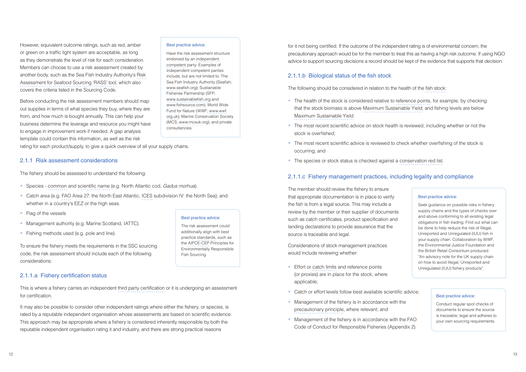However, equivalent outcome ratings, such as red, amber or green on a traffic light system are acceptable, as long as they demonstrate the level of risk for each consideration. Members can choose to use a risk assessment created by another body, such as the Sea Fish Industry Authority's Risk Assessment for Seafood Sourcing 'RASS' tool, which also covers the criteria listed in the Sourcing Code.

- Species common and scientific name (e.g. North Atlantic cod, *Gadus morhua*).
- Catch area (e.g. FAO Area 27: the North East Atlantic, ICES subdivision IV: the North Sea); and whether in a country's EEZ or the high seas.
- Flag of the vessels
- Management authority (e.g. Marine Scotland, IATTC).
- Fishing methods used (e.g. pole and line).

Before conducting the risk assessment members should map out supplies in terms of what species they buy, where they are from, and how much is bought annually. This can help your business determine the leverage and resource you might have to engage in improvement work if needed. A gap analysis template could contain this information, as well as the risk

rating for each product/supply, to give a quick overview of all your supply chains.

#### 2.1.1 Risk assessment considerations

The fishery should be assessed to understand the following:

To ensure the fishery meets the requirements in the SSC sourcing code, the risk assessment should include each of the following considerations:

#### 2.1.1.a Fishery certification status

This is where a fishery carries an independent third party certification or it is undergoing an assessment for certification.

It may also be possible to consider other independent ratings where either the fishery, or species, is rated by a reputable independent organisation whose assessments are based on scientific evidence. This approach may be appropriate where a fishery is considered inherently responsible by both the reputable independent organisation rating it and industry, and there are strong practical reasons

#### Best practice advice:

- Effort or catch limits and reference points (or proxies) are in place for the stock, where applicable;
- Catch or effort levels follow best available scientific advice;
- Management of the fishery is in accordance with the precautionary principle, where relevant; and
- Management of the fishery is in accordance with the FAO Code of Conduct for Responsible Fisheries (Appendix 2).

Have the risk assessment structure endorsed by an independent competent party. Examples of independent competent parties include, but are not limited to: The Sea Fish Industry Authority (Seafish; www.seafish.org); Sustainable Fisheries Partnership (SFP; www.sustainablefish.org and www.fishsource.com), World Wide Fund for Nature (WWF; www.wwf. org.uk); Marine Conservation Society (MCS; www.mcsuk.org); and private consultancies.

for it not being certified. If the outcome of the independent rating is of environmental concern, the precautionary approach would be for the member to treat this as having a high risk outcome. If using NGO advice to support sourcing decisions a record should be kept of the evidence that supports that decision.

#### 2.1.1.b Biological status of the fish stock

The following should be considered in relation to the health of the fish stock:

- The health of the stock is considered relative to reference points, for example, by checking that the stock biomass is above Maximum Sustainable Yield; and fishing levels are below Maximum Sustainable Yield
- The most recent scientific advice on stock health is reviewed, including whether or not the stock is overfished;
- The most recent scientific advice is reviewed to check whether overfishing of the stock is occurring; and
- The species or stock status is checked against a conservation red list.

#### 2.1.1.c Fishery management practices, including legality and compliance

The member should review the fishery to ensure that appropriate documentation is in place to verify the fish is from a legal source. This may include a review by the member or their supplier of documents such as catch certificates, product specification and landing declarations to provide assurance that the source is traceable and legal.

Considerations of stock management practices would include reviewing whether:

#### Best practice advice:

Seek guidance on possible risks in fishery supply chains and the types of checks over and above conforming to all existing legal obligations in fish trading. Find out what can be done to help reduce the risk of Illegal, Unreported and Unregulated (IUU) fish in your supply chain. Collaboration by WWF, the Environmental Justice Foundation and the British Retail Consortium produced "An advisory note for the UK supply chain on how to avoid Illegal, Unreported and Unregulated (IUU) fishery products".

#### Best practice advice:

Conduct regular spot checks of documents to ensure the source is traceable, legal and adheres to your own sourcing requirements.

Best practice advice:

The risk assessment could additionally align with best practice standards, such as the AIPCE-CEP Principles for Environmentally Responsible

Fish Sourcing.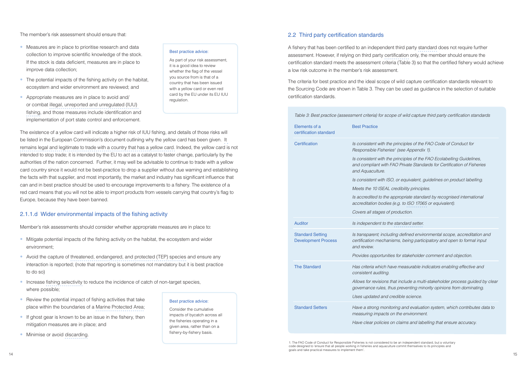The member's risk assessment should ensure that:

- Measures are in place to prioritise research and data collection to improve scientific knowledge of the stock. If the stock is data deficient, measures are in place to improve data collection;
- The potential impacts of the fishing activity on the habitat, ecosystem and wider environment are reviewed; and
- Appropriate measures are in place to avoid and/ or combat illegal, unreported and unregulated (IUU) fishing, and those measures include identification and implementation of port state control and enforcement.

The existence of a yellow card will indicate a higher risk of IUU fishing, and details of those risks will be listed in the European Commission's document outlining why the yellow card has been given. It remains legal and legitimate to trade with a country that has a yellow card. Indeed, the yellow card is not intended to stop trade; it is intended by the EU to act as a catalyst to faster change, particularly by the authorities of the nation concerned. Further, it may well be advisable to continue to trade with a yellow card country since it would not be best-practice to drop a supplier without due warning and establishing the facts with that supplier, and most importantly, the market and industry has significant influence that can and in best practice should be used to encourage improvements to a fishery. The existence of a red card means that you will not be able to import products from vessels carrying that country's flag to Europe, because they have been banned.

#### 2.1.1.d Wider environmental impacts of the fishing activity

Member's risk assessments should consider whether appropriate measures are in place to:

- Mitigate potential impacts of the fishing activity on the habitat, the ecosystem and wider environment;
- Avoid the capture of threatened, endangered, and protected (TEP) species and ensure any interaction is reported; (note that reporting is sometimes not mandatory but it is best practice to do so)
- Increase fishing selectivity to reduce the incidence of catch of non-target species, where possible;
- Review the potential impact of fishing activities that take place within the boundaries of a Marine Protected Area;
- If ghost gear is known to be an issue in the fishery, then mitigation measures are in place; and
- Minimise or avoid discarding.

*<u>Inciples of the FAO Code of Conduct for</u> Responsible Fisheries1 (see Appendix 1).*

defined environmental scope, accreditation and Development Process *certification mechanisms, being participatory and open to formal input*

*Allows for revisions that include a multi-stakeholder process guided by clear reventing minority opinions from dominating.* 

#### Best practice advice:

f and evaluation system, which contributes data to *measuring impacts on the environment.*

As part of your risk assessment, it is a good idea to review whether the flag of the vessel you source from is that of a country that has been issued with a yellow card or even red card by the EU under its EU IUU regulation.

#### Best practice advice:

Consider the cumulative impacts of bycatch across all the fisheries operating in a given area, rather than on a fishery-by-fishery basis.

#### 2.2 Third party certification standards

A fishery that has been certified to an independent third party standard does not require further assessment. However, if relying on third party certification only, the member should ensure the certification standard meets the assessment criteria (Table 3) so that the certified fishery would achieve a low risk outcome in the member's risk assessment.

The criteria for best practice and the ideal scope of wild capture certification standards relevant to the Sourcing Code are shown in Table 3. They can be used as guidance in the selection of suitable certification standards.

*Table 3: Best practice (assessment criteria) for scope of wild capture third party certification standards*

*Is consistent with the principles of the FAO Ecolabelling Guidelines, and compliant with FAO Private Standards for Certification of Fisheries*

*<i>I* equivalent, guidelines on product labelling.

*Meets the 10 ISEAL credibility principles.*

| Elements of a<br>certification standard               | <b>Best Practice</b>                                                             |
|-------------------------------------------------------|----------------------------------------------------------------------------------|
| Certification                                         | Is consistent with the prir<br>Responsible Fisheries <sup>1</sup> (s             |
|                                                       | Is consistent with the prir<br>and compliant with FAO.<br>and Aquaculture.       |
|                                                       | Is consistent with ISO, or                                                       |
|                                                       | Meets the 10 ISEAL crea                                                          |
|                                                       | Is accredited to the appr<br>accreditation bodies (e.g                           |
|                                                       | Covers all stages of prod                                                        |
| <b>Auditor</b>                                        | Is independent to the sta                                                        |
| <b>Standard Setting</b><br><b>Development Process</b> | Is transparent; including<br>certification mechanisms                            |
|                                                       | and review.                                                                      |
|                                                       | Provides opportunities fo                                                        |
| <b>The Standard</b>                                   | Has criteria which have n<br>consistent auditing.                                |
|                                                       | Allows for revisions that in<br>governance rules, thus p                         |
|                                                       | Uses updated and credii                                                          |
| <b>Standard Setters</b>                               | Have a strong monitoring<br>measuring impacts on th<br>Have clear policies on cl |

*Is accredited to the appropriate standard by recognised international accreditation bodies (e.g. to ISO 17065 or equivalent).*

*Covers all stages of production.*

Auditor *Is independent to the standard setter.*

*Provides opportunities for stakeholder comment and objection.*

The Standard *Has criteria which have measurable indicators enabling effective and*

*Uses updated and credible science.* 

*Have clear policies on claims and labelling that ensure accuracy.*

1. The FAO Code of Conduct for Responsible Fisheries is not considered to be an independent standard, but a voluntary code designed to 'ensure that all people working in fisheries and aquaculture commit themselves to its principles and goals and take practical measures to implement them'.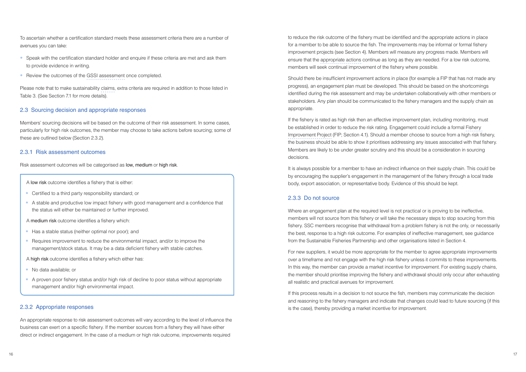To ascertain whether a certification standard meets these assessment criteria there are a number of avenues you can take:

- Speak with the certification standard holder and enquire if these criteria are met and ask them to provide evidence in writing.
- Review the outcomes of the GSSI assessment once completed.

Please note that to make sustainability claims, extra criteria are required in addition to those listed in Table 3. (See Section 7.1 for more details).

#### 2.3 Sourcing decision and appropriate responses

Members' sourcing decisions will be based on the outcome of their risk assessment. In some cases, particularly for high risk outcomes, the member may choose to take actions before sourcing; some of these are outlined below (Section 2.3.2).

#### 2.3.1 Risk assessment outcomes

Risk assessment outcomes will be categorised as low, medium or high risk.

- A low risk outcome identifies a fishery that is either:
- Certified to a third party responsibility standard; or
- A stable and productive low impact fishery with good management and a confidence that the status will either be maintained or further improved.
- A medium risk outcome identifies a fishery which:
- Has a stable status (neither optimal nor poor); and
- Requires improvement to reduce the environmental impact, and/or to improve the management/stock status. It may be a data deficient fishery with stable catches.
- A high risk outcome identifies a fishery which either has:
- No data available; or
- A proven poor fishery status and/or high risk of decline to poor status without appropriate management and/or high environmental impact.

#### 2.3.2 Appropriate responses

An appropriate response to risk assessment outcomes will vary according to the level of influence the business can exert on a specific fishery. If the member sources from a fishery they will have either direct or indirect engagement. In the case of a medium or high risk outcome, improvements required

to reduce the risk outcome of the fishery must be identified and the appropriate actions in place for a member to be able to source the fish. The improvements may be informal or formal fishery improvement projects (see Section 4). Members will measure any progress made. Members will ensure that the appropriate actions continue as long as they are needed. For a low risk outcome, members will seek continual improvement of the fishery where possible.

Should there be insufficient improvement actions in place (for example a FIP that has not made any progress), an engagement plan must be developed. This should be based on the shortcomings identified during the risk assessment and may be undertaken collaboratively with other members or stakeholders. Any plan should be communicated to the fishery managers and the supply chain as appropriate.

If the fishery is rated as high risk then an effective improvement plan, including monitoring, must be established in order to reduce the risk rating. Engagement could include a formal Fishery Improvement Project (FIP; Section 4.1). Should a member choose to source from a high risk fishery, the business should be able to show it prioritises addressing any issues associated with that fishery. Members are likely to be under greater scrutiny and this should be a consideration in sourcing decisions.

It is always possible for a member to have an indirect influence on their supply chain. This could be by encouraging the supplier's engagement in the management of the fishery through a local trade body, export association, or representative body. Evidence of this should be kept.

#### 2.3.3 Do not source

Where an engagement plan at the required level is not practical or is proving to be ineffective, members will not source from this fishery or will take the necessary steps to stop sourcing from this fishery. SSC members recognise that withdrawal from a problem fishery is not the only, or necessarily the best, response to a high risk outcome. For examples of ineffective management, see guidance from the Sustainable Fisheries Partnership and other organisations listed in Section 4.

For new suppliers, it would be more appropriate for the member to agree appropriate improvements over a timeframe and not engage with the high risk fishery unless it commits to these improvements. In this way, the member can provide a market incentive for improvement. For existing supply chains, the member should prioritise improving the fishery and withdrawal should only occur after exhausting all realistic and practical avenues for improvement.

If this process results in a decision to not source the fish, members may communicate the decision and reasoning to the fishery managers and indicate that changes could lead to future sourcing (if this is the case), thereby providing a market incentive for improvement.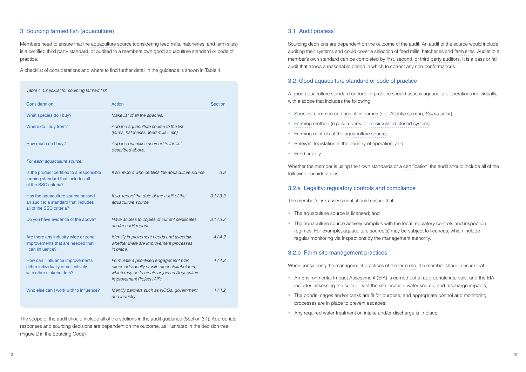#### 3 Sourcing farmed fish (aquaculture)

Members need to ensure that the aquaculture source (considering feed mills, hatcheries, and farm sites) is a certified third party standard, or audited to a members own good aquaculture standard or code of practice.

A checklist of considerations and where to find further detail in the guidance is shown in Table 4.

#### *Table 4: Checklist for sourcing farmed fish*

| Consideration                                                                                           | <b>Action</b>                                                                                                                                                             | <b>Section</b> |
|---------------------------------------------------------------------------------------------------------|---------------------------------------------------------------------------------------------------------------------------------------------------------------------------|----------------|
| What species do I buy?                                                                                  | Make list of all the species.                                                                                                                                             |                |
| Where do I buy from?                                                                                    | Add the aquaculture source to the list<br>(farms, hatcheries, feed mills etc).                                                                                            |                |
| How much do I buy?                                                                                      | Add the quantities sourced to the list<br>described above.                                                                                                                |                |
| For each aquaculture source:                                                                            |                                                                                                                                                                           |                |
| Is the product certified to a responsible<br>farming standard that includes all<br>of the SSC criteria? | If so, record who certifies the aquaculture source.                                                                                                                       | 3.3            |
| Has the aquaculture source passed<br>an audit to a standard that includes<br>all of the SSC criteria?   | If so, record the date of the audit of the<br>aquaculture source.                                                                                                         | 3.1 / 3.2      |
| Do you have evidence of the above?                                                                      | Have access to copies of current certificates<br>and/or audit reports.                                                                                                    | 3.1 / 3.2      |
| Are there any industry wide or zonal<br>improvements that are needed that<br>I can influence?           | Identify improvement needs and ascertain<br>whether there are improvement processes<br>in place.                                                                          | 4/4.2          |
| How can I influence improvements<br>either individually or collectively<br>with other stakeholders?     | Formulate a prioritised engagement plan<br>either individually or with other stakeholders,<br>which may be to create or join an Aquaculture<br>Improvement Project (AIP). | 4/4.2          |
| Who else can I work with to influence?                                                                  | Identify partners such as NGOs, government<br>and industry.                                                                                                               | 4/4.2          |

- Species' common and scientific names (e.g. Atlantic salmon, *Salmo salar*);
- Farming method (e.g. sea pens, or re-circulated closed system);
- Farming controls at the aquaculture source;
- Relevant legislation in the country of operation; and
- Feed supply.

- The aquaculture source is licensed; and
- The aquaculture source actively complies with the local regulatory controls and inspection regimes. For example, aquaculture source(s) may be subject to licences, which include regular monitoring via inspections by the management authority.

The scope of the audit should include all of the sections in the audit guidance (Section 3.1). Appropriate responses and sourcing decisions are dependent on the outcome, as illustrated in the decision tree (Figure 2 in the Sourcing Code).

#### 3.1 Audit process

Sourcing decisions are dependent on the outcome of the audit. An audit of the source would include auditing their systems and could cover a selection of feed mills, hatcheries and farm sites. Audits to a member's own standard can be completed by first, second, or third party auditors. It is a pass or fail audit that allows a reasonable period in which to correct any non-conformances.

#### 3.2 Good aquaculture standard or code of practice

A good aquaculture standard or code of practice should assess aquaculture operations individually, with a scope that includes the following:

Whether the member is using their own standards or a certification, the audit should include all of the following considerations:

#### 3.2.a Legality: regulatory controls and compliance

The member's risk assessment should ensure that:

#### 3.2.b Farm site management practices

When considering the management practices of the farm site, the member should ensure that:

- An Environmental Impact Assessment (EIA) is carried out at appropriate intervals, and the EIA includes assessing the suitability of the site location, water source, and discharge impacts;
- The ponds, cages and/or tanks are fit for purpose, and appropriate control and monitoring processes are in place to prevent escapes;
- Any required water treatment on intake and/or discharge is in place;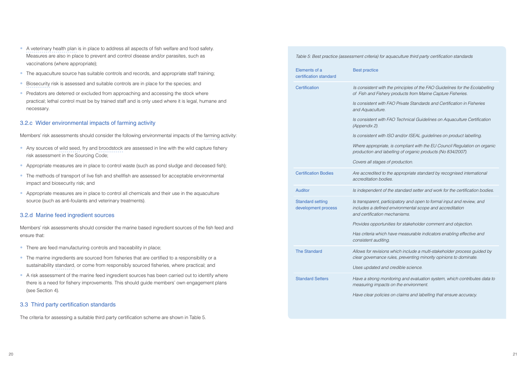- A veterinary health plan is in place to address all aspects of fish welfare and food safety. Measures are also in place to prevent and control disease and/or parasites, such as vaccinations (where appropriate);
- The aquaculture source has suitable controls and records, and appropriate staff training;
- Biosecurity risk is assessed and suitable controls are in place for the species; and
- Predators are deterred or excluded from approaching and accessing the stock where practical; lethal control must be by trained staff and is only used where it is legal, humane and necessary.

#### 3.2.c Wider environmental impacts of farming activity

Members' risk assessments should consider the following environmental impacts of the farming activity:

- Any sources of wild seed, fry and broodstock are assessed in line with the wild capture fishery risk assessment in the Sourcing Code;
- Appropriate measures are in place to control waste (such as pond sludge and deceased fish);
- The methods of transport of live fish and shellfish are assessed for acceptable environmental impact and biosecurity risk; and
- Appropriate measures are in place to control all chemicals and their use in the aquaculture source (such as anti-foulants and veterinary treatments).

*Is consistent in FAO Guidelines for the Ecolabelling inciples of the FAO Guidelines for the Ecolabelling of Fish and Fishery products from Marine Capture Fisheries.*

#### 3.2.d Marine feed ingredient sources

Members' risk assessments should consider the marine based ingredient sources of the fish feed and ensure that:

 $S$ ry and open to formal input and review, and development process *includes a defined environmental scope and accreditation and certification mechanisms.* 

- There are feed manufacturing controls and traceability in place;
- The marine ingredients are sourced from fisheries that are certified to a responsibility or a sustainability standard, or come from responsibly sourced fisheries, where practical; and
- A risk assessment of the marine feed ingredient sources has been carried out to identify where there is a need for fishery improvements. This should guide members' own engagement plans (see Section 4).

include a multi-stakeholder process guided by *clear governance rules, preventing minority opinions to dominate.*

and evaluation system, which contributes data to *measuring impacts on the environment.*

#### 3.3 Third party certification standards

The criteria for assessing a suitable third party certification scheme are shown in Table 5.

*Table 5: Best practice (assessment criteria) for aquaculture third party certification standards*

*Is consistent with FAO Private Standards and Certification in Fisheries*

*Is consistent with FAO Technical Guidelines on Aquaculture Certification* 

*Is consistent with ISO and/or ISEAL guidelines on product labelling.*

*Where appropriate, is compliant with the EU Council Regulation on organic production and labelling of organic products (No 834/2007).*

| Elements of a<br>certification standard        | <b>Best practice</b>                                                                   |
|------------------------------------------------|----------------------------------------------------------------------------------------|
| Certification                                  | Is consistent with the prin<br>of Fish and Fishery produ                               |
|                                                | Is consistent with FAO Pri<br>and Aquaculture.                                         |
|                                                | Is consistent with FAO Te<br>(Appendix 2).                                             |
|                                                | Is consistent with ISO and                                                             |
|                                                | Where appropriate, is con<br>production and labelling o                                |
|                                                | Covers all stages of produ                                                             |
| <b>Certification Bodies</b>                    | Are accredited to the app<br>accreditation bodies.                                     |
| <b>Auditor</b>                                 | Is independent of the star                                                             |
| <b>Standard setting</b><br>development process | Is transparent, participato<br>includes a defined enviro.<br>and certification mechani |
|                                                | Provides opportunities for                                                             |
|                                                | Has criteria which have m<br>consistent auditing.                                      |
| <b>The Standard</b>                            | Allows for revisions which<br>clear governance rules, p                                |
|                                                | Uses updated and credib                                                                |
| <b>Standard Setters</b>                        | Have a strong monitoring<br>measuring impacts on the                                   |
|                                                | Have clear policies on cla                                                             |

*Covers all stages of production.*

*Propriate standard by recognised international* 

Auditor *Is independent of the standard setter and work for the certification bodies.*

*Provides opportunities for stakeholder comment and objection.*

*Has criteria which have measurable indicators enabling effective and*

*Uses updated and credible science.*

*Have clear policies on claims and labelling that ensure accuracy.*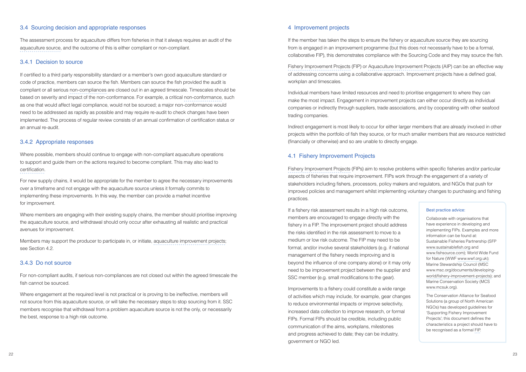The assessment process for aquaculture differs from fisheries in that it always requires an audit of the aquaculture source, and the outcome of this is either compliant or non-compliant.

#### 3.4 Sourcing decision and appropriate responses

#### 3.4.1 Decision to source

If certified to a third party responsibility standard or a member's own good aquaculture standard or code of practice, members can source the fish. Members can source the fish provided the audit is compliant or all serious non-compliances are closed out in an agreed timescale. Timescales should be based on severity and impact of the non-conformance. For example, a critical non-conformance, such as one that would affect legal compliance, would not be sourced; a major non-conformance would need to be addressed as rapidly as possible and may require re-audit to check changes have been implemented. The process of regular review consists of an annual confirmation of certification status or an annual re-audit.

Where members are engaging with their existing supply chains, the member should prioritise improving the aquaculture source, and withdrawal should only occur after exhausting all realistic and practical avenues for improvement.

#### 3.4.2 Appropriate responses

Where possible, members should continue to engage with non-compliant aquaculture operations to support and guide them on the actions required to become compliant. This may also lead to certification.

If the member has taken the steps to ensure the fishery or aquaculture source they are sourcing from is engaged in an improvement programme (but this does not necessarily have to be a formal, collaborative FIP), this demonstrates compliance with the Sourcing Code and they may source the fish.

For new supply chains, it would be appropriate for the member to agree the necessary improvements over a timeframe and not engage with the aquaculture source unless it formally commits to implementing these improvements. In this way, the member can provide a market incentive for improvement.

Members may support the producer to participate in, or initiate, aquaculture improvement projects; see Section 4.2.

#### 3.4.3 Do not source

For non-compliant audits, if serious non-compliances are not closed out within the agreed timescale the fish cannot be sourced.

Where engagement at the required level is not practical or is proving to be ineffective, members will not source from this aquaculture source, or will take the necessary steps to stop sourcing from it. SSC members recognise that withdrawal from a problem aquaculture source is not the only, or necessarily the best, response to a high risk outcome.

#### 4 Improvement projects

Fishery Improvement Projects (FIP) or Aquaculture Improvement Projects (AIP) can be an effective way of addressing concerns using a collaborative approach. Improvement projects have a defined goal, workplan and timescales.

Individual members have limited resources and need to prioritise engagement to where they can make the most impact. Engagement in improvement projects can either occur directly as individual companies or indirectly through suppliers, trade associations, and by cooperating with other seafood trading companies.

Indirect engagement is most likely to occur for either larger members that are already involved in other projects within the portfolio of fish they source, or for much smaller members that are resource restricted (financially or otherwise) and so are unable to directly engage.

#### 4.1 Fishery Improvement Projects

Fishery Improvement Projects (FIPs) aim to resolve problems within specific fisheries and/or particular aspects of fisheries that require improvement. FIPs work through the engagement of a variety of stakeholders including fishers, processors, policy makers and regulators, and NGOs that push for improved policies and management whilst implementing voluntary changes to purchasing and fishing practices.

If a fishery risk assessment results in a high risk outcome, members are encouraged to engage directly with the fishery in a FIP. The improvement project should address the risks identified in the risk assessment to move to a medium or low risk outcome. The FIP may need to be formal, and/or involve several stakeholders (e.g. if national management of the fishery needs improving and is beyond the influence of one company alone) or it may only need to be improvement project between the supplier and SSC member (e.g. small modifications to the gear). Improvements to a fishery could constitute a wide range of activities which may include, for example, gear changes to reduce environmental impacts or improve selectivity, increased data collection to improve research, or formal

FIPs. Formal FIPs should be credible, including public communication of the aims, workplans, milestones and progress achieved to date; they can be industry, government or NGO led.

#### Best practice advice:

Collaborate with organisations that have experience in developing and implementing FIPs. Examples and more information can be found at: Sustainable Fisheries Partnership (SFP www.sustainablefish.org and www.fishsource.com); World Wide Fund for Nature (WWF www.wwf.org.uk); Marine Stewardship Council (MSC www.msc.org/documents/developingworld/fishery-improvement-projects); and Marine Conservation Society (MCS www.mcsuk.org).

The Conservation Alliance for Seafood Solutions (a group of North American NGOs) has developed guidelines for 'Supporting Fishery Improvement Projects'; this document defines the characteristics a project should have to be recognised as a formal FIP.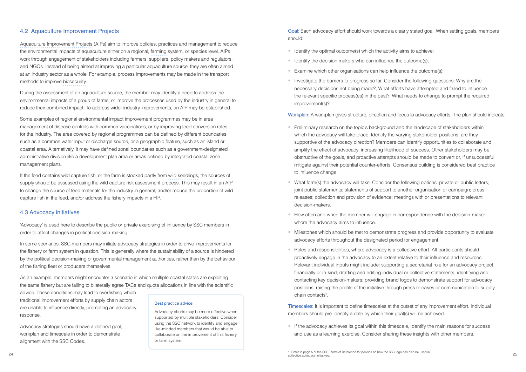#### 4.2 Aquaculture Improvement Projects

Aquaculture Improvement Projects (AIPs) aim to improve policies, practices and management to reduce the environmental impacts of aquaculture either on a regional, farming system, or species level. AIPs work through engagement of stakeholders including farmers, suppliers, policy makers and regulators, and NGOs. Instead of being aimed at improving a particular aquaculture source, they are often aimed at an industry sector as a whole. For example, process improvements may be made in the transport methods to improve biosecurity.

During the assessment of an aquaculture source, the member may identify a need to address the environmental impacts of a group of farms, or improve the processes used by the industry in general to reduce their combined impact. To address wider industry improvements, an AIP may be established.

Some examples of regional environmental impact improvement programmes may be in area management of disease controls with common vaccinations, or by improving feed conversion rates for the industry. The area covered by regional programmes can be defined by different boundaries, such as a common water input or discharge source, or a geographic feature, such as an island or coastal area. Alternatively, it may have defined zonal boundaries such as a government-designated administrative division like a development plan area or areas defined by integrated coastal zone management plans.

If the feed contains wild capture fish, or the farm is stocked partly from wild seedlings, the sources of supply should be assessed using the wild capture risk assessment process. This may result in an AIP to change the source of feed materials for the industry in general, and/or reduce the proportion of wild capture fish in the feed, and/or address the fishery impacts in a FIP.

- Identify the optimal outcome(s) which the activity aims to achieve;
- Identify the decision makers who can influence the outcome(s):
- Examine which other organisations can help influence the outcome(s);
- Investigate the barriers to progress so far. Consider the following questions: Why are the necessary decisions not being made?; What efforts have attempted and failed to influence the relevant specific process(es) in the past?; What needs to change to prompt the required improvement(s)?

#### 4.3 Advocacy initiatives

'Advocacy' is used here to describe the public or private exercising of influence by SSC members in order to affect changes in political decision-making.

In some scenarios, SSC members may initiate advocacy strategies in order to drive improvements for the fishery or farm system in question. This is generally where the sustainability of a source is hindered by the political decision-making of governmental management authorities, rather than by the behaviour of the fishing fleet or producers themselves.

As an example, members might encounter a scenario in which multiple coastal states are exploiting the same fishery but are failing to bilaterally agree TACs and quota allocations in line with the scientific

advice. These conditions may lead to overfishing which traditional improvement efforts by supply chain actors are unable to influence directly, prompting an advocacy response.

Advocacy strategies should have a defined goal, workplan and timescale in order to demonstrate alignment with the SSC Codes.

• If the advocacy achieves its goal within this timescale, identify the main reasons for success and use as a learning exercise. Consider sharing these insights with other members.

Goal: Each advocacy effort should work towards a clearly stated goal. When setting goals, members should:

Workplan: A workplan gives structure, direction and focus to advocacy efforts. The plan should indicate:

- Preliminary research on the topic's background and the landscape of stakeholders within which the advocacy will take place. Identify the varying stakeholder positions: are they supportive of the advocacy direction? Members can identify opportunities to collaborate and amplify the effect of advocacy, increasing likelihood of success. Other stakeholders may be obstructive of the goals, and proactive attempts should be made to convert or, if unsuccessful, mitigate against their potential counter-efforts. Consensus building is considered best practice to influence change.
- What form(s) the advocacy will take. Consider the following options: private or public letters; joint public statements; statements of support to another organisation or campaign; press releases; collection and provision of evidence; meetings with or presentations to relevant decision-makers.
- How often and when the member will engage in correspondence with the decision-maker whom the advocacy aims to influence.
- Milestones which should be met to demonstrate progress and provide opportunity to evaluate advocacy efforts throughout the designated period for engagement.
- Roles and responsibilities, where advocacy is a collective effort. All participants should proactively engage in the advocacy to an extent relative to their influence and resources. Relevant individual inputs might include: supporting a secretariat role for an advocacy project, financially or in-kind; drafting and editing individual or collective statements; identifying and contacting key decision-makers; providing brand logos to demonstrate support for advocacy positions; raising the profile of the initiative through press releases or communication to supply chain contacts<sup>1</sup>.

Timescales: It is important to define timescales at the outset of any improvement effort. Individual members should pre-identify a date by which their goal(s) will be achieved.

#### Best practice advice:

Advocacy efforts may be more effective when supported by multiple stakeholders. Consider using the SSC network to identify and engage like-minded members that would be able to collaborate on the improvement of this fishery or farm system.

 $24$  and  $30$  on the state of policies of neighborhood in policies of now the SOC logo can also be used in  $25$ 1. Refer to page 5 of the SSC Terms of Reference for policies on how the SSC logo can also be used in collective advocacy initiatives.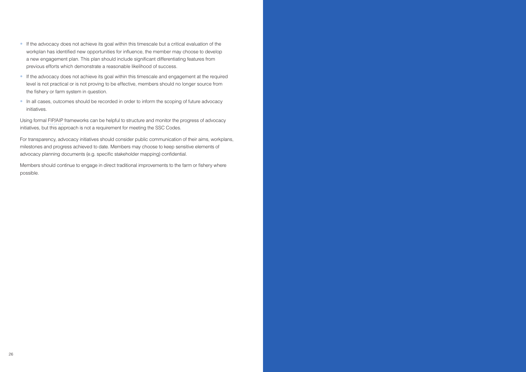- If the advocacy does not achieve its goal within this timescale but a critical evaluation of the workplan has identified new opportunities for influence, the member may choose to develop a new engagement plan. This plan should include significant differentiating features from previous efforts which demonstrate a reasonable likelihood of success.
- If the advocacy does not achieve its goal within this timescale and engagement at the required level is not practical or is not proving to be effective, members should no longer source from the fishery or farm system in question.
- In all cases, outcomes should be recorded in order to inform the scoping of future advocacy initiatives.

Using formal FIP/AIP frameworks can be helpful to structure and monitor the progress of advocacy initiatives, but this approach is not a requirement for meeting the SSC Codes.

For transparency, advocacy initiatives should consider public communication of their aims, workplans, milestones and progress achieved to date. Members may choose to keep sensitive elements of advocacy planning documents (e.g. specific stakeholder mapping) confidential.

Members should continue to engage in direct traditional improvements to the farm or fishery where possible.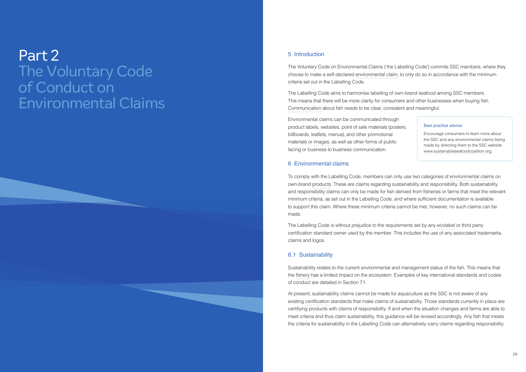## Part 2 The Voluntary Code of Conduct on Environmental Claims

#### 5 Introduction

The Voluntary Code on Environmental Claims ('the Labelling Code') commits SSC members, where they choose to make a self-declared environmental claim, to only do so in accordance with the minimum criteria set out in the Labelling Code.

The Labelling Code aims to harmonise labelling of own-brand seafood among SSC members. This means that there will be more clarity for consumers and other businesses when buying fish. Communication about fish needs to be clear, consistent and meaningful.

Environmental claims can be communicated through product labels, websites, point of sale materials (posters, billboards, leaflets, menus), and other promotional materials or images, as well as other forms of public facing or business to business communication.

#### 6 Environmental claims

To comply with the Labelling Code, members can only use two categories of environmental claims on own-brand products. These are claims regarding sustainability and responsibility. Both sustainability and responsibility claims can only be made for fish derived from fisheries or farms that meet the relevant minimum criteria, as set out in the Labelling Code, and where sufficient documentation is available to support this claim. Where these minimum criteria cannot be met, however, no such claims can be made.

The Labelling Code is without prejudice to the requirements set by any ecolabel or third party certification standard owner used by the member. This includes the use of any associated trademarks, claims and logos.

#### 6.1 Sustainability

Sustainability relates to the current environmental and management status of the fish. This means that the fishery has a limited impact on the ecosystem. Examples of key international standards and codes of conduct are detailed in Section 7.1.

At present, sustainability claims cannot be made for aquaculture as the SSC is not aware of any existing certification standards that make claims of sustainability. Those standards currently in place are certifying products with claims of responsibility. If and when the situation changes and farms are able to meet criteria and thus claim sustainability, this guidance will be revised accordingly. Any fish that meets the criteria for sustainability in the Labelling Code can alternatively carry claims regarding responsibility.

#### Best practice advice:

Encourage consumers to learn more about the SSC and any environmental claims being made by directing them to the SSC website www.sustainableseafoodcoalition.org.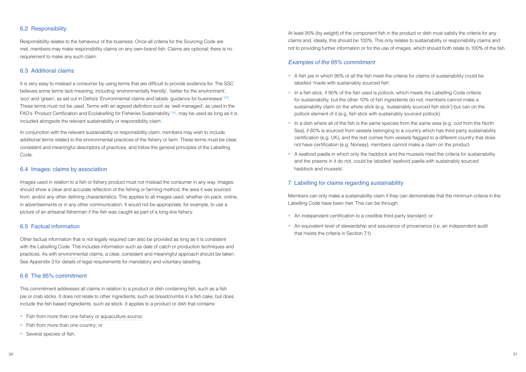#### 6.2 Responsibility

Responsibility relates to the behaviour of the business. Once all criteria for the Sourcing Code are met, members may make responsibility claims on any own-brand fish. Claims are optional; there is no requirement to make any such claim.

#### 6.3 Additional claims

It is very easy to mislead a consumer by using terms that are difficult to provide evidence for. The SSC believes some terms lack meaning, including 'environmentally friendly', 'better for the environment', 'eco' and 'green', as set out in Defra's 'Environmental claims and labels: guidance for businesses' **[**ä**]** . These terms must not be used. Terms with an agreed definition such as 'well-managed', as used in the FAO's 'Product Certification and Ecolabelling for Fisheries Sustainability' **[**ä**]** , may be used as long as it is included alongside the relevant sustainability or responsibility claim.

In conjunction with the relevant sustainability or responsibility claim, members may wish to include additional terms related to the environmental practices of the fishery or farm. These terms must be clear, consistent and meaningful descriptors of practices, and follow the general principles of the Labelling **Code** 

#### 6.4 Images: claims by association

Images used in relation to a fish or fishery product must not mislead the consumer in any way. Images should show a clear and accurate reflection of the fishing or farming method, the area it was sourced from, and/or any other defining characteristics. This applies to all images used, whether on-pack, online, in advertisements or in any other communication. It would not be appropriate, for example, to use a picture of an artisanal fisherman if the fish was caught as part of a long-line fishery.

#### 6.5 Factual information

Other factual information that is not legally required can also be provided as long as it is consistent with the Labelling Code. This includes information such as date of catch or production techniques and practices. As with environmental claims, a clear, consistent and meaningful approach should be taken. See Appendix 3 for details of legal requirements for mandatory and voluntary labelling.

- A fish pie in which 95% of all the fish meet the criteria for claims of sustainability could be labelled 'made with sustainably sourced fish'.
- In a fish stick, if 90% of the fish used is pollock, which meets the Labelling Code criteria for sustainability, but the other 10% of fish ingredients do not, members cannot make a sustainability claim on the whole stick (e.g. 'sustainably sourced fish stick') but can on the pollock element of it (e.g. fish stick with sustainably sourced pollock).
- In a dish where all of the fish is the same species from the same area (e.g. cod from the North Sea), if 80% is sourced from vessels belonging to a country which has third party sustainability certification (e.g. UK), and the rest comes from vessels flagged to a different country that does not have certification (e.g. Norway), members cannot make a claim on the product.
- A seafood paella in which only the haddock and the mussels meet the criteria for sustainability and the prawns in it do not, could be labelled 'seafood paella with sustainably sourced haddock and mussels'.

#### 6.6 The 95% commitment

- An independent certification to a credible third party standard; or
- An equivalent level of stewardship and assurance of provenance (i.e. an independent audit that meets the criteria in Section 7.1).

This commitment addresses all claims in relation to a product or dish containing fish, such as a fish pie or crab sticks. It does not relate to other ingredients, such as breadcrumbs in a fish cake, but does include the fish based ingredients, such as stock. It applies to a product or dish that contains:

- Fish from more than one fishery or aquaculture source;
- Fish from more than one country; or
- Several species of fish.

At least 95% (by weight) of the component fish in the product or dish must satisfy the criteria for any claims and, ideally, this should be 100%. This only relates to sustainability or responsibility claims and not to providing further information or for the use of images, which should both relate to 100% of the fish.

#### *Examples of the 95% commitment*

#### 7 Labelling for claims regarding sustainability

Members can only make a sustainability claim if they can demonstrate that the minimum criteria in the Labelling Code have been met. This can be through: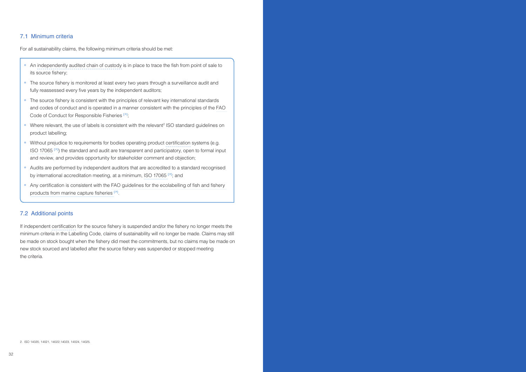#### 7.1 Minimum criteria

For all sustainability claims, the following minimum criteria should be met:

- An independently audited chain of custody is in place to trace the fish from point of sale to its source fishery;
- The source fishery is monitored at least every two years through a surveillance audit and fully reassessed every five years by the independent auditors;
- The source fishery is consistent with the principles of relevant key international standards and codes of conduct and is operated in a manner consistent with the principles of the FAO Code of Conduct for Responsible Fisheries **[**ä**]** ;
- Where relevant, the use of labels is consistent with the relevant<sup>2</sup> ISO standard guidelines on product labelling;
- Without prejudice to requirements for bodies operating product certification systems (e.g. ISO 17065 **[**ä**]** ) the standard and audit are transparent and participatory, open to formal input and review, and provides opportunity for stakeholder comment and objection;
- Audits are performed by independent auditors that are accredited to a standard recognised by international accreditation meeting, at a minimum, ISO 17065 **[**ä**]** ; and
- Any certification is consistent with the FAO guidelines for the ecolabelling of fish and fishery products from marine capture fisheries **[**ä**]** .

#### 7.2 Additional points

If independent certification for the source fishery is suspended and/or the fishery no longer meets the minimum criteria in the Labelling Code, claims of sustainability will no longer be made. Claims may still be made on stock bought when the fishery did meet the commitments, but no claims may be made on new stock sourced and labelled after the source fishery was suspended or stopped meeting the criteria.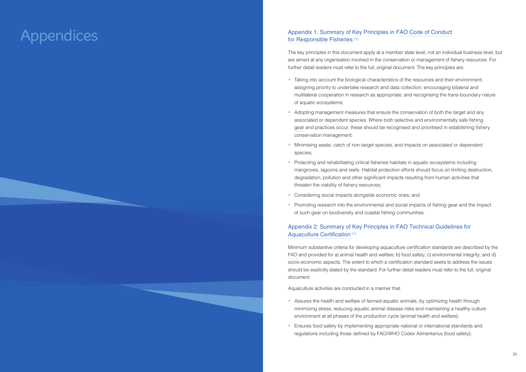#### Appendix 1: Summary of Key Principles in FAO Code of Conduct for Responsible Fisheries **[**ä**]**

The key principles in this document apply at a member state level, not an individual business level, but are aimed at any organisation involved in the conservation or management of fishery resources. For further detail readers must refer to the full, original document. The key principles are:

- Taking into account the biological characteristics of the resources and their environment; assigning priority to undertake research and data collection; encouraging bilateral and multilateral cooperation in research as appropriate; and recognising the trans-boundary nature of aquatic ecosystems;
- Adopting management measures that ensure the conservation of both the target and any associated or dependent species. Where both selective and environmentally safe fishing gear and practices occur, these should be recognised and prioritised in establishing fishery conservation management;
- Minimising waste, catch of non-target species, and impacts on associated or dependent species;
- Protecting and rehabilitating critical fisheries habitats in aquatic ecosystems including mangroves, lagoons and reefs. Habitat protection efforts should focus on limiting destruction, degradation, pollution and other significant impacts resulting from human activities that threaten the viability of fishery resources;
- Considering social impacts alongside economic ones; and
- Promoting research into the environmental and social impacts of fishing gear and the impact of such gear on biodiversity and coastal fishing communities.

- Assures the health and welfare of farmed aquatic animals, by optimizing health through minimizing stress, reducing aquatic animal disease risks and maintaining a healthy culture environment at all phases of the production cycle (animal health and welfare);
- Ensures food safety by implementing appropriate national or international standards and regulations including those defined by FAO/WHO Codex Alimentarius (food safety);

#### Appendix 2: Summary of Key Principles in FAO Technical Guidelines for Aquaculture Certification **[**ä**]**

Minimum substantive criteria for developing aquaculture certification standards are described by the FAO and provided for a) animal health and welfare; b) food safety; c) environmental integrity; and d) socio-economic aspects. The extent to which a certification standard seeks to address the issues should be explicitly stated by the standard. For further detail readers must refer to the full, original document.

Aquaculture activities are conducted in a manner that:

## Appendices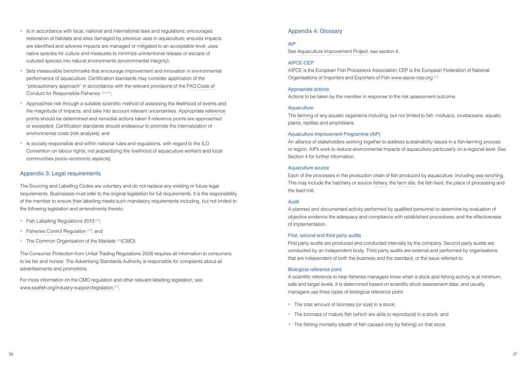- Is in accordance with local, national and international laws and regulations; encourages restoration of habitats and sites damaged by previous uses in aquaculture; ensures impacts are identified and adverse impacts are managed or mitigated to an acceptable level; uses native species for culture and measures to minimize unintentional release or escape of cultured species into natural environments (environmental integrity);
- Sets measurable benchmarks that encourage improvement and innovation in environmental performance of aquaculture. Certification standards may consider application of the "precautionary approach" in accordance with the relevant provisions of the FAO Code of Conduct for Responsible Fisheries [Web<sub>7]</sub>;
- Approaches risk through a suitable scientific method of assessing the likelihood of events and the magnitude of impacts, and take into account relevant uncertainties. Appropriate reference points should be determined and remedial actions taken if reference points are approached or exceeded. Certification standards should endeavour to promote the internalization of environmental costs (risk analysis); and
- Is socially responsible and within national rules and regulations, with regard to the ILO Convention on labour rights, not jeopardizing the livelihood of aquaculture workers and local communities (socio-economic aspects).

#### Appendix 3: Legal requirements

The Sourcing and Labelling Codes are voluntary and do not replace any existing or future legal requirements. Businesses must refer to the original legislation for full requirements. It is the responsibility of the member to ensure their labelling meets such mandatory requirements including, but not limited to the following legislation and amendments thereto:

- Fish Labelling Regulations 2013 **[**ä**]** ;
- Fisheries Control Regulation **[**ä**]** ; and
- The Common Organisation of the Markets **[**ä**]** (CMO)

The Consumer Protection from Unfair Trading Regulations 2008 requires all information to consumers to be fair and honest. The Advertising Standards Authority is responsible for complaints about all advertisements and promotions.

For more information on the CMO regulation and other relevant labelling legislation, see www.seafish.org/industry-support/legislation **[**ä**]** .

#### Appendix 4: Glossary

#### AIP

See Aquaculture Improvement Project, see section 4.

#### AIPCE-CEP

AIPCE is the European Fish Processors Association; CEP is the European Federation of National Organisations of Importers and Exporters of Fish www.aipce-cep.org **[**ä**]**

#### Appropriate actions

Actions to be taken by the member in response to the risk assessment outcome.

#### **Aquaculture**

The farming of any aquatic organisms including, but not limited to fish, molluscs, crustaceans, aquatic plants, reptiles and amphibians.

#### Aquaculture Improvement Programme (AIP)

An alliance of stakeholders working together to address sustainability issues in a fish-farming process or region. AIPs work to reduce environmental impacts of aquaculture particularly on a regional level. See Section 4 for further information.

#### Aquaculture source

Each of the processes in the production chain of fish produced by aquaculture, including sea ranching. This may include the hatchery or source fishery, the farm site, the fish feed, the place of processing and the feed mill.

#### Audit

A planned and documented activity performed by qualified personnel to determine by evaluation of objective evidence the adequacy and compliance with established procedures, and the effectiveness of implementation.

#### First, second and third party audits

First party audits are produced and conducted internally by the company. Second party audits are conducted by an independent body. Third party audits are external and performed by organisations that are independent of both the business and the standard, or the issue referred to.

#### Biological reference point

A scientific reference to help fisheries managers know when a stock and fishing activity is at minimum, safe and target levels. It is determined based on scientific stock assessment data, and usually managers use three types of biological reference point:

- The total amount of biomass (or size) in a stock;
- The biomass of mature fish (which are able to reproduce) in a stock; and
- The fishing mortality (death of fish caused only by fishing) on that stock.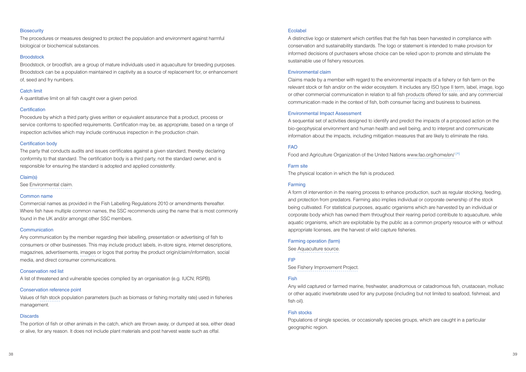#### **Biosecurity**

The procedures or measures designed to protect the population and environment against harmful biological or biochemical substances.

#### **Broodstock**

Broodstock, or broodfish, are a group of mature individuals used in aquaculture for breeding purposes. Broodstock can be a population maintained in captivity as a source of replacement for, or enhancement of, seed and fry numbers.

#### Catch limit

A quantitative limit on all fish caught over a given period.

#### **Certification**

Procedure by which a third party gives written or equivalent assurance that a product, process or service conforms to specified requirements. Certification may be, as appropriate, based on a range of inspection activities which may include continuous inspection in the production chain.

#### Certification body

The party that conducts audits and issues certificates against a given standard, thereby declaring conformity to that standard. The certification body is a third party, not the standard owner, and is responsible for ensuring the standard is adopted and applied consistently.

#### Claim(s)

See Environmental claim.

#### Common name

Commercial names as provided in the Fish Labelling Regulations 2010 or amendments thereafter. Where fish have multiple common names, the SSC recommends using the name that is most commonly found in the UK and/or amongst other SSC members.

#### **Communication**

Any communication by the member regarding their labelling, presentation or advertising of fish to consumers or other businesses. This may include product labels, in-store signs, internet descriptions, magazines, advertisements, images or logos that portray the product origin/claim/information, social media, and direct consumer communications.

#### Conservation red list

A list of threatened and vulnerable species complied by an organisation (e.g. IUCN; RSPB).

#### Conservation reference point

Values of fish stock population parameters (such as biomass or fishing mortality rate) used in fisheries management.

#### **Discards**

The portion of fish or other animals in the catch, which are thrown away, or dumped at sea, either dead or alive, for any reason. It does not include plant materials and post harvest waste such as offal.

#### Ecolabel

A distinctive logo or statement which certifies that the fish has been harvested in compliance with conservation and sustainability standards. The logo or statement is intended to make provision for informed decisions of purchasers whose choice can be relied upon to promote and stimulate the sustainable use of fishery resources.

#### Environmental claim

Claims made by a member with regard to the environmental impacts of a fishery or fish farm on the relevant stock or fish and/or on the wider ecosystem. It includes any ISO type II term, label, image, logo or other commercial communication in relation to all fish products offered for sale, and any commercial communication made in the context of fish, both consumer facing and business to business.

#### Environmental Impact Assessment

A sequential set of activities designed to identify and predict the impacts of a proposed action on the bio-geophysical environment and human health and well being, and to interpret and communicate information about the impacts, including mitigation measures that are likely to eliminate the risks.

#### FAO

Food and Agriculture Organization of the United Nations www.fao.org/home/en/ **[**ä**]**

#### Farm site

The physical location in which the fish is produced.

#### Farming

A form of intervention in the rearing process to enhance production, such as regular stocking, feeding, and protection from predators. Farming also implies individual or corporate ownership of the stock being cultivated. For statistical purposes, aquatic organisms which are harvested by an individual or corporate body which has owned them throughout their rearing period contribute to aquaculture, while aquatic organisms, which are exploitable by the public as a common property resource with or without appropriate licenses, are the harvest of wild capture fisheries.

#### Farming operation (farm)

See Aquaculture source.

#### FIP

See Fishery Improvement Project.

#### Fish

Any wild captured or farmed marine, freshwater, anadromous or catadromous fish, crustacean, mollusc or other aquatic invertebrate used for any purpose (including but not limited to seafood, fishmeal, and fish oil).

#### Fish stocks

Populations of single species, or occasionally species groups, which are caught in a particular geographic region.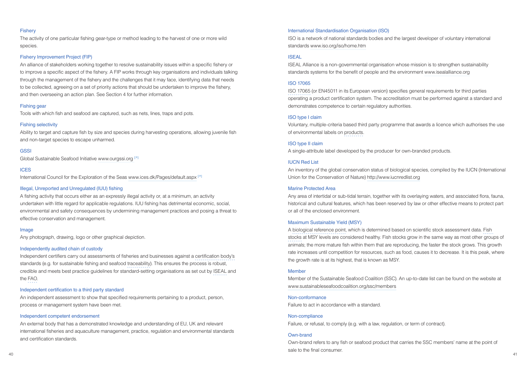#### **Fisherv**

The activity of one particular fishing gear-type or method leading to the harvest of one or more wild species.

#### Fishery Improvement Project (FIP)

An alliance of stakeholders working together to resolve sustainability issues within a specific fishery or to improve a specific aspect of the fishery. A FIP works through key organisations and individuals talking through the management of the fishery and the challenges that it may face, identifying data that needs to be collected, agreeing on a set of priority actions that should be undertaken to improve the fishery, and then overseeing an action plan. See Section 4 for further information.

#### Fishing gear

Tools with which fish and seafood are captured, such as nets, lines, traps and pots.

#### Fishing selectivity

Ability to target and capture fish by size and species during harvesting operations, allowing juvenile fish and non-target species to escape unharmed.

#### **GSSI**

Global Sustainable Seafood Initiative www.ourgssi.org **[**ä**]**

#### ICES

International Council for the Exploration of the Seas www.ices.dk/Pages/default.aspx **[**ä**]**

#### Illegal, Unreported and Unregulated (IUU) fishing

A fishing activity that occurs either as an expressly illegal activity or, at a minimum, an activity undertaken with little regard for applicable regulations. IUU fishing has detrimental economic, social, environmental and safety consequences by undermining management practices and posing a threat to effective conservation and management.

#### Image

Any photograph, drawing, logo or other graphical depiction.

#### Independently audited chain of custody

Independent certifiers carry out assessments of fisheries and businesses against a certification body's standards (e.g. for sustainable fishing and seafood traceability). This ensures the process is robust, credible and meets best practice guidelines for standard-setting organisations as set out by ISEAL and the FAO.

#### Independent certification to a third party standard

An independent assessment to show that specified requirements pertaining to a product, person, process or management system have been met.

#### Independent competent endorsement

An external body that has a demonstrated knowledge and understanding of EU, UK and relevant international fisheries and aquaculture management, practice, regulation and environmental standards and certification standards.

40 41 Own-brand refers to any fish or seafood product that carries the SSC members' name at the point of sale to the final consumer.

#### International Standardisation Organisation (ISO)

ISO is a network of national standards bodies and the largest developer of voluntary international standards www.iso.org/iso/home.htm

#### ISEAL

ISEAL Alliance is a non-governmental organisation whose mission is to strengthen sustainability standards systems for the benefit of people and the environment www.isealalliance.org

#### ISO 17065

ISO 17065 (or EN45011 in its European version) specifies general requirements for third parties operating a product certification system. The accreditation must be performed against a standard and demonstrates competence to certain regulatory authorities.

#### ISO type I claim

Voluntary, multiple-criteria based third party programme that awards a licence which authorises the use of environmental labels on products.

#### ISO type II claim

A single-attribute label developed by the producer for own-branded products.

#### IUCN Red List

An inventory of the global conservation status of biological species, compiled by the IUCN (International Union for the Conservation of Nature) http://www.iucnredlist.org

#### Marine Protected Area

Any area of intertidal or sub-tidal terrain, together with its overlaying waters, and associated flora, fauna, historical and cultural features, which has been reserved by law or other effective means to protect part or all of the enclosed environment.

#### Maximum Sustainable Yield (MSY)

A biological reference point, which is determined based on scientific stock assessment data. Fish stocks at MSY levels are considered healthy. Fish stocks grow in the same way as most other groups of animals; the more mature fish within them that are reproducing, the faster the stock grows. This growth rate increases until competition for resources, such as food, causes it to decrease. It is this peak, where the growth rate is at its highest, that is known as MSY.

#### Member

Member of the Sustainable Seafood Coalition (SSC). An up-to-date list can be found on the website at www.sustainableseafoodcoalition.org/ssc/members

#### Non-conformance

Failure to act in accordance with a standard.

#### Non-compliance

Failure, or refusal, to comply (e.g. with a law, regulation, or term of contract).

#### Own-brand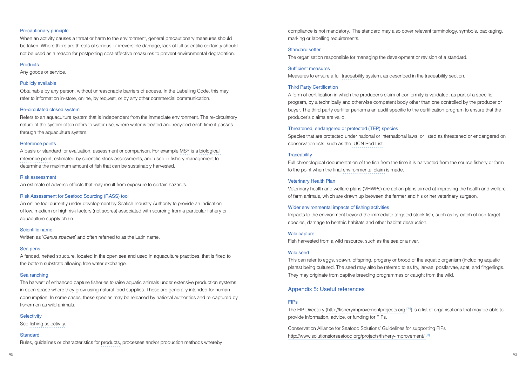#### Precautionary principle

When an activity causes a threat or harm to the environment, general precautionary measures should be taken. Where there are threats of serious or irreversible damage, lack of full scientific certainty should not be used as a reason for postponing cost-effective measures to prevent environmental degradation.

#### **Products**

Any goods or service.

#### Publicly available

Obtainable by any person, without unreasonable barriers of access. In the Labelling Code, this may refer to information in-store, online, by request, or by any other commercial communication.

#### Re-circulated closed system

Refers to an aquaculture system that is independent from the immediate environment. The re-circulatory nature of the system often refers to water use, where water is treated and recycled each time it passes through the aquaculture system.

#### Reference points

A basis or standard for evaluation, assessment or comparison. For example MSY is a biological reference point, estimated by scientific stock assessments, and used in fishery management to determine the maximum amount of fish that can be sustainably harvested.

#### Risk assessment

An estimate of adverse effects that may result from exposure to certain hazards.

#### Risk Assessment for Seafood Sourcing (RASS) tool

An online tool currently under development by Seafish Industry Authority to provide an indication of low, medium or high risk factors (not scores) associated with sourcing from a particular fishery or aquaculture supply chain.

#### Scientific name

Written as '*Genus species*' and often referred to as the Latin name.

#### Sea pens

A fenced, netted structure, located in the open sea and used in aquaculture practices, that is fixed to the bottom substrate allowing free water exchange.

#### Sea ranching

The harvest of enhanced capture fisheries to raise aquatic animals under extensive production systems in open space where they grow using natural food supplies. These are generally intended for human consumption. In some cases, these species may be released by national authorities and re-captured by fishermen as wild animals.

#### **Selectivity**

See fishing selectivity.

#### **Standard**

Rules, guidelines or characteristics for products, processes and/or production methods whereby

compliance is not mandatory. The standard may also cover relevant terminology, symbols, packaging, marking or labelling requirements.

#### Standard setter

The organisation responsible for managing the development or revision of a standard.

#### Sufficient measures

Measures to ensure a full traceability system, as described in the traceability section.

#### Third Party Certification

A form of certification in which the producer's claim of conformity is validated, as part of a specific program, by a technically and otherwise competent body other than one controlled by the producer or buyer. The third party certifier performs an audit specific to the certification program to ensure that the producer's claims are valid.

#### Threatened, endangered or protected (TEP) species

Species that are protected under national or international laws, or listed as threatened or endangered on conservation lists, such as the IUCN Red List.

#### **Traceability**

Full chronological documentation of the fish from the time it is harvested from the source fishery or farm to the point when the final environmental claim is made.

#### Veterinary Health Plan

Veterinary health and welfare plans (VHWPs) are action plans aimed at improving the health and welfare of farm animals, which are drawn up between the farmer and his or her veterinary surgeon.

#### Wider environmental impacts of fishing activities

Impacts to the environment beyond the immediate targeted stock fish, such as by-catch of non-target species, damage to benthic habitats and other habitat destruction.

#### Wild capture

Fish harvested from a wild resource, such as the sea or a river.

#### Wild seed

This can refer to eggs, spawn, offspring, progeny or brood of the aquatic organism (including aquatic plants) being cultured. The seed may also be referred to as fry, larvae, postlarvae, spat, and fingerlings. They may originate from captive breeding programmes or caught from the wild.

#### Appendix 5: Useful references

#### FIPs

The FIP Directory (http://fisheryimprovementprojects.org **[**ä**]** ) is a list of organisations that may be able to provide information, advice, or funding for FIPs.

Conservation Alliance for Seafood Solutions' Guidelines for supporting FIPs http://www.solutionsforseafood.org/projects/fishery-improvement/ **[**ä**]**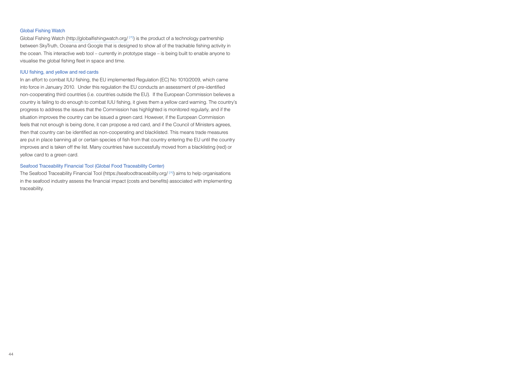#### Global Fishing Watch

Global Fishing Watch (http://globalfishingwatch.org/ **[**ä**]** ) is the product of a technology partnership between SkyTruth, Oceana and Google that is designed to show all of the trackable fishing activity in the ocean. This interactive web tool – currently in prototype stage – is being built to enable anyone to visualise the global fishing fleet in space and time.

#### IUU fishing, and yellow and red cards

In an effort to combat IUU fishing, the EU implemented Regulation (EC) No 1010/2009, which came into force in January 2010. Under this regulation the EU conducts an assessment of pre-identified non-cooperating third countries (i.e. countries outside the EU). If the European Commission believes a country is failing to do enough to combat IUU fishing, it gives them a yellow card warning. The country's progress to address the issues that the Commission has highlighted is monitored regularly, and if the situation improves the country can be issued a green card. However, if the European Commission feels that not enough is being done, it can propose a red card, and if the Council of Ministers agrees, then that country can be identified as non-cooperating and blacklisted. This means trade measures are put in place banning all or certain species of fish from that country entering the EU until the country improves and is taken off the list. Many countries have successfully moved from a blacklisting (red) or yellow card to a green card.

#### Seafood Traceability Financial Tool (Global Food Traceability Center)

The Seafood Traceability Financial Tool (https://seafoodtraceability.org/ **[**ä**]** ) aims to help organisations in the seafood industry assess the financial impact (costs and benefits) associated with implementing traceability.